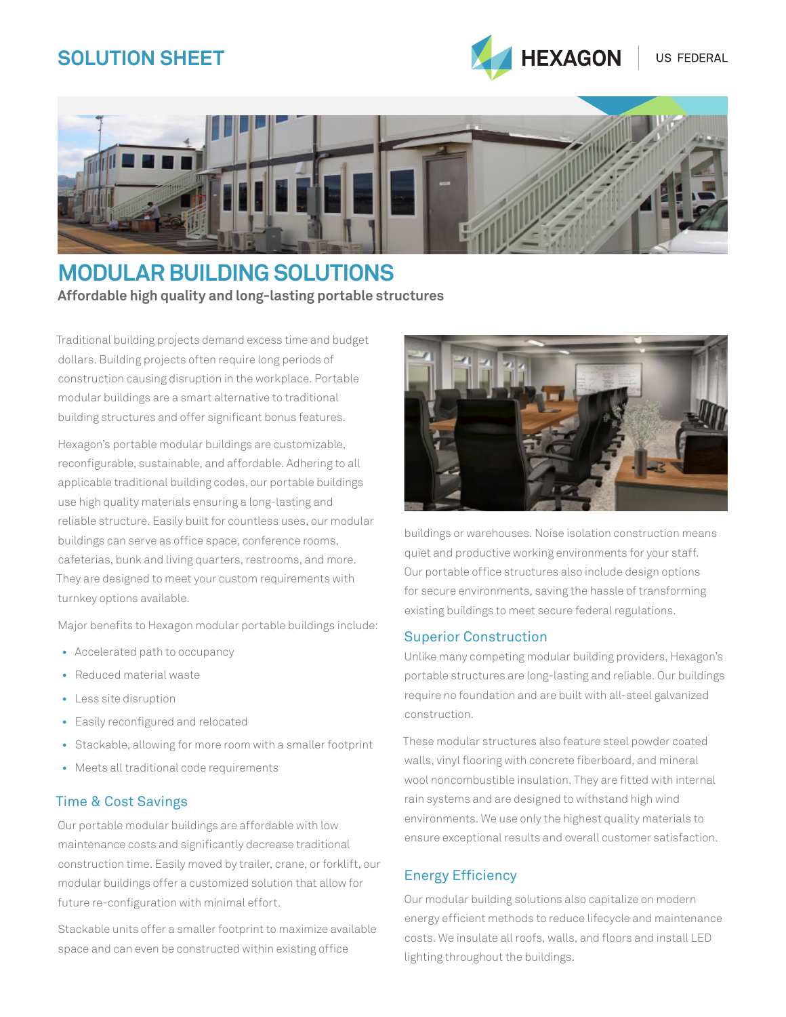# **SOLUTION SHEET**





# **MODULAR BUILDING SOLUTIONS**

**Affordable high quality and long-lasting portable structures**

Traditional building projects demand excess time and budget dollars. Building projects often require long periods of construction causing disruption in the workplace. Portable modular buildings are a smart alternative to traditional building structures and offer significant bonus features.

Hexagon's portable modular buildings are customizable, reconfigurable, sustainable, and affordable. Adhering to all applicable traditional building codes, our portable buildings use high quality materials ensuring a long-lasting and reliable structure. Easily built for countless uses, our modular buildings can serve as office space, conference rooms, cafeterias, bunk and living quarters, restrooms, and more. They are designed to meet your custom requirements with turnkey options available.

Major benefits to Hexagon modular portable buildings include:

- **•** Accelerated path to occupancy
- **•** Reduced material waste
- **•** Less site disruption
- **•** Easily reconfigured and relocated
- **•** Stackable, allowing for more room with a smaller footprint
- **•** Meets all traditional code requirements

#### Time & Cost Savings

Our portable modular buildings are affordable with low maintenance costs and significantly decrease traditional construction time. Easily moved by trailer, crane, or forklift, our modular buildings offer a customized solution that allow for future re-configuration with minimal effort.

Stackable units offer a smaller footprint to maximize available space and can even be constructed within existing office



buildings or warehouses. Noise isolation construction means quiet and productive working environments for your staff. Our portable office structures also include design options for secure environments, saving the hassle of transforming existing buildings to meet secure federal regulations.

### Superior Construction

Unlike many competing modular building providers, Hexagon's portable structures are long-lasting and reliable. Our buildings require no foundation and are built with all-steel galvanized construction.

These modular structures also feature steel powder coated walls, vinyl flooring with concrete fiberboard, and mineral wool noncombustible insulation. They are fitted with internal rain systems and are designed to withstand high wind environments. We use only the highest quality materials to ensure exceptional results and overall customer satisfaction.

# Energy Efficiency

Our modular building solutions also capitalize on modern energy efficient methods to reduce lifecycle and maintenance costs. We insulate all roofs, walls, and floors and install LED lighting throughout the buildings.